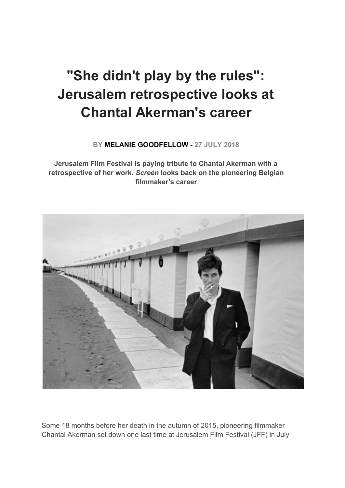# **"She didn't play by the rules": Jerusalem retrospective looks at Chantal Akerman's career**

**BY MELANIE GOODFELLOW - 27 JULY 2018**

**Jerusalem Film Festival is paying tribute to Chantal Akerman with a retrospective of her work.** *Screen* **looks back on the pioneering Belgian filmmaker's career**



Some 18 months before her death in the autumn of 2015, pioneering filmmaker Chantal Akerman set down one last time at Jerusalem Film Festival (JFF) in July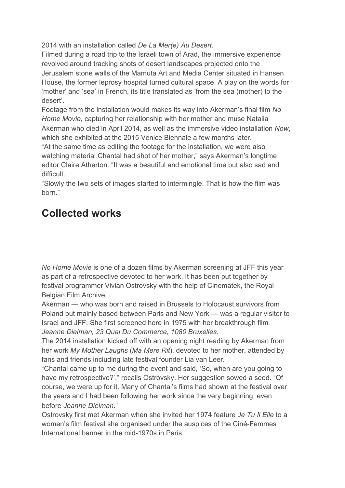2014 with an installation called *De La Mer(e) Au Desert*.

Filmed during a road trip to the Israeli town of Arad, the immersive experience revolved around tracking shots of desert landscapes projected onto the Jerusalem stone walls of the Mamuta Art and Media Center situated in Hansen House, the former leprosy hospital turned cultural space. A play on the words for 'mother' and 'sea' in French, its title translated as 'from the sea (mother) to the desert'.

Footage from the installation would makes its way into Akerman's final film *No Home Movie*, capturing her relationship with her mother and muse Natalia Akerman who died in April 2014, as well as the immersive video installation *Now*, which she exhibited at the 2015 Venice Biennale a few months later.

"At the same time as editing the footage for the installation, we were also watching material Chantal had shot of her mother," says Akerman's longtime editor Claire Atherton. "It was a beautiful and emotional time but also sad and difficult.

"Slowly the two sets of images started to intermingle. That is how the film was born."

## **Collected works**

*No Home Movie* is one of a dozen films by Akerman screening at JFF this year as part of a retrospective devoted to her work. It has been put together by festival programmer Vivian Ostrovsky with the help of Cinematek, the Royal Belgian Film Archive.

Akerman — who was born and raised in Brussels to Holocaust survivors from Poland but mainly based between Paris and New York — was a regular visitor to Israel and JFF. She first screened here in 1975 with her breakthrough film *Jeanne Dielman, 23 Quai Du Commerce, 1080 Bruxelles*.

The 2014 installation kicked off with an opening night reading by Akerman from her work *My Mother Laughs* (*Ma Mere Rit*), devoted to her mother, attended by fans and friends including late festival founder Lia van Leer.

"Chantal came up to me during the event and said, 'So, when are you going to have my retrospective?'," recalls Ostrovsky. Her suggestion sowed a seed. "Of course, we were up for it. Many of Chantal's films had shown at the festival over the years and I had been following her work since the very beginning, even before *Jeanne Dielman*."

Ostrovsky first met Akerman when she invited her 1974 feature *Je Tu Il Elle* to a women's film festival she organised under the auspices of the Ciné-Femmes International banner in the mid-1970s in Paris.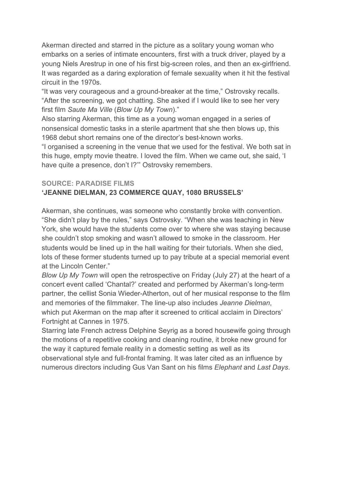Akerman directed and starred in the picture as a solitary young woman who embarks on a series of intimate encounters, first with a truck driver, played by a young Niels Arestrup in one of his first big-screen roles, and then an ex-girlfriend. It was regarded as a daring exploration of female sexuality when it hit the festival circuit in the 1970s.

"It was very courageous and a ground-breaker at the time," Ostrovsky recalls. "After the screening, we got chatting. She asked if I would like to see her very first film *Saute Ma Ville* (*Blow Up My Town*)."

Also starring Akerman, this time as a young woman engaged in a series of nonsensical domestic tasks in a sterile apartment that she then blows up, this 1968 debut short remains one of the director's best-known works.

"I organised a screening in the venue that we used for the festival. We both sat in this huge, empty movie theatre. I loved the film. When we came out, she said, 'I have quite a presence, don't I?'" Ostrovsky remembers.

#### **SOURCE: PARADISE FILMS**

### **'JEANNE DIELMAN, 23 COMMERCE QUAY, 1080 BRUSSELS'**

Akerman, she continues, was someone who constantly broke with convention. "She didn't play by the rules," says Ostrovsky. "When she was teaching in New York, she would have the students come over to where she was staying because she couldn't stop smoking and wasn't allowed to smoke in the classroom. Her students would be lined up in the hall waiting for their tutorials. When she died, lots of these former students turned up to pay tribute at a special memorial event at the Lincoln Center."

*Blow Up My Town* will open the retrospective on Friday (July 27) at the heart of a concert event called 'Chantal?' created and performed by Akerman's long-term partner, the cellist Sonia Wieder-Atherton, out of her musical response to the film and memories of the filmmaker. The line-up also includes *Jeanne Dielman*, which put Akerman on the map after it screened to critical acclaim in Directors' Fortnight at Cannes in 1975.

Starring late French actress Delphine Seyrig as a bored housewife going through the motions of a repetitive cooking and cleaning routine, it broke new ground for the way it captured female reality in a domestic setting as well as its observational style and full-frontal framing. It was later cited as an influence by numerous directors including Gus Van Sant on his films *Elephant* and *Last Days*.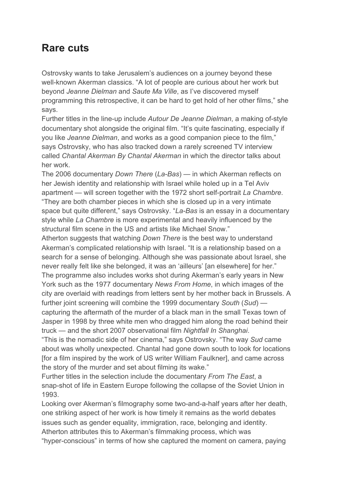## **Rare cuts**

Ostrovsky wants to take Jerusalem's audiences on a journey beyond these well-known Akerman classics. "A lot of people are curious about her work but beyond *Jeanne Dielman* and *Saute Ma Ville*, as I've discovered myself programming this retrospective, it can be hard to get hold of her other films," she says.

Further titles in the line-up include *Autour De Jeanne Dielman*, a making of-style documentary shot alongside the original film. "It's quite fascinating, especially if you like *Jeanne Dielman*, and works as a good companion piece to the film," says Ostrovsky, who has also tracked down a rarely screened TV interview called *Chantal Akerman By Chantal Akerman* in which the director talks about her work.

The 2006 documentary *Down There* (*La-Bas*) — in which Akerman reflects on her Jewish identity and relationship with Israel while holed up in a Tel Aviv apartment — will screen together with the 1972 short self-portrait *La Chambre*. "They are both chamber pieces in which she is closed up in a very intimate space but quite different," says Ostrovsky. "*La-Bas* is an essay in a documentary style while *La Chambre* is more experimental and heavily influenced by the structural film scene in the US and artists like Michael Snow."

Atherton suggests that watching *Down There* is the best way to understand Akerman's complicated relationship with Israel. "It is a relationship based on a search for a sense of belonging. Although she was passionate about Israel, she never really felt like she belonged, it was an 'ailleurs' [an elsewhere] for her." The programme also includes works shot during Akerman's early years in New York such as the 1977 documentary *News From Home*, in which images of the city are overlaid with readings from letters sent by her mother back in Brussels. A further joint screening will combine the 1999 documentary *South* (*Sud*) capturing the aftermath of the murder of a black man in the small Texas town of Jasper in 1998 by three white men who dragged him along the road behind their truck — and the short 2007 observational film *Nightfall In Shanghai*.

"This is the nomadic side of her cinema," says Ostrovsky. "The way *Sud* came about was wholly unexpected. Chantal had gone down south to look for locations [for a film inspired by the work of US writer William Faulkner], and came across the story of the murder and set about filming its wake."

Further titles in the selection include the documentary *From The East*, a snap-shot of life in Eastern Europe following the collapse of the Soviet Union in 1993.

Looking over Akerman's filmography some two-and-a-half years after her death, one striking aspect of her work is how timely it remains as the world debates issues such as gender equality, immigration, race, belonging and identity. Atherton attributes this to Akerman's filmmaking process, which was "hyper-conscious" in terms of how she captured the moment on camera, paying